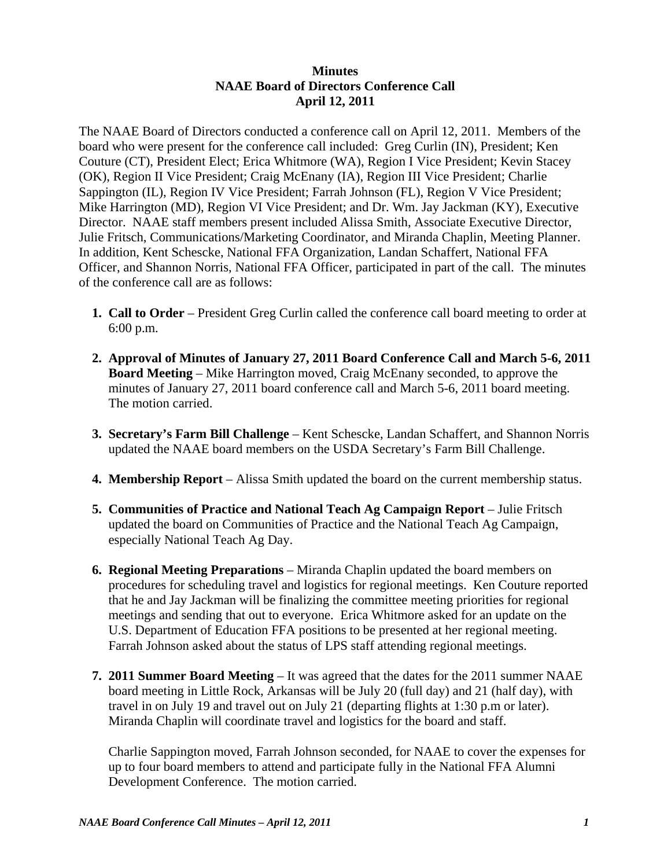## **Minutes NAAE Board of Directors Conference Call April 12, 2011**

The NAAE Board of Directors conducted a conference call on April 12, 2011. Members of the board who were present for the conference call included: Greg Curlin (IN), President; Ken Couture (CT), President Elect; Erica Whitmore (WA), Region I Vice President; Kevin Stacey (OK), Region II Vice President; Craig McEnany (IA), Region III Vice President; Charlie Sappington (IL), Region IV Vice President; Farrah Johnson (FL), Region V Vice President; Mike Harrington (MD), Region VI Vice President; and Dr. Wm. Jay Jackman (KY), Executive Director. NAAE staff members present included Alissa Smith, Associate Executive Director, Julie Fritsch, Communications/Marketing Coordinator, and Miranda Chaplin, Meeting Planner. In addition, Kent Schescke, National FFA Organization, Landan Schaffert, National FFA Officer, and Shannon Norris, National FFA Officer, participated in part of the call. The minutes of the conference call are as follows:

- **1. Call to Order** President Greg Curlin called the conference call board meeting to order at 6:00 p.m.
- **2. Approval of Minutes of January 27, 2011 Board Conference Call and March 5-6, 2011 Board Meeting** – Mike Harrington moved, Craig McEnany seconded, to approve the minutes of January 27, 2011 board conference call and March 5-6, 2011 board meeting. The motion carried.
- **3. Secretary's Farm Bill Challenge** Kent Schescke, Landan Schaffert, and Shannon Norris updated the NAAE board members on the USDA Secretary's Farm Bill Challenge.
- **4. Membership Report** Alissa Smith updated the board on the current membership status.
- **5. Communities of Practice and National Teach Ag Campaign Report** Julie Fritsch updated the board on Communities of Practice and the National Teach Ag Campaign, especially National Teach Ag Day.
- **6. Regional Meeting Preparations** Miranda Chaplin updated the board members on procedures for scheduling travel and logistics for regional meetings. Ken Couture reported that he and Jay Jackman will be finalizing the committee meeting priorities for regional meetings and sending that out to everyone. Erica Whitmore asked for an update on the U.S. Department of Education FFA positions to be presented at her regional meeting. Farrah Johnson asked about the status of LPS staff attending regional meetings.
- **7. 2011 Summer Board Meeting**  It was agreed that the dates for the 2011 summer NAAE board meeting in Little Rock, Arkansas will be July 20 (full day) and 21 (half day), with travel in on July 19 and travel out on July 21 (departing flights at 1:30 p.m or later). Miranda Chaplin will coordinate travel and logistics for the board and staff.

 Charlie Sappington moved, Farrah Johnson seconded, for NAAE to cover the expenses for up to four board members to attend and participate fully in the National FFA Alumni Development Conference. The motion carried.